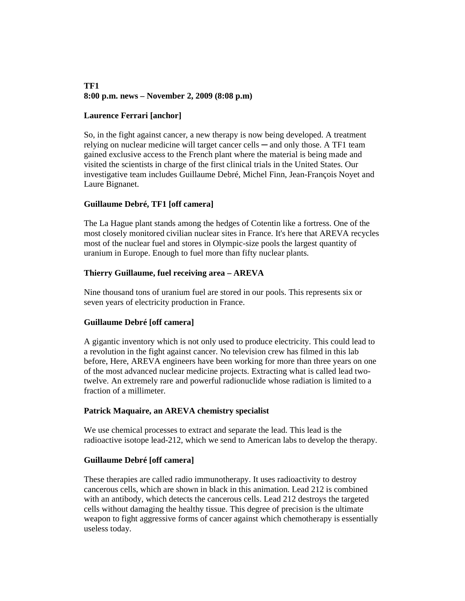#### **TF1 8:00 p.m. news – November 2, 2009 (8:08 p.m)**

# **Laurence Ferrari [anchor]**

So, in the fight against cancer, a new therapy is now being developed. A treatment relying on nuclear medicine will target cancer cells  $-$  and only those. A TF1 team gained exclusive access to the French plant where the material is being made and visited the scientists in charge of the first clinical trials in the United States. Our investigative team includes Guillaume Debré, Michel Finn, Jean-François Noyet and Laure Bignanet.

## **Guillaume Debré, TF1 [off camera]**

The La Hague plant stands among the hedges of Cotentin like a fortress. One of the most closely monitored civilian nuclear sites in France. It's here that AREVA recycles most of the nuclear fuel and stores in Olympic-size pools the largest quantity of uranium in Europe. Enough to fuel more than fifty nuclear plants.

## **Thierry Guillaume, fuel receiving area – AREVA**

Nine thousand tons of uranium fuel are stored in our pools. This represents six or seven years of electricity production in France.

#### **Guillaume Debré [off camera]**

A gigantic inventory which is not only used to produce electricity. This could lead to a revolution in the fight against cancer. No television crew has filmed in this lab before, Here, AREVA engineers have been working for more than three years on one of the most advanced nuclear medicine projects. Extracting what is called lead twotwelve. An extremely rare and powerful radionuclide whose radiation is limited to a fraction of a millimeter.

#### **Patrick Maquaire, an AREVA chemistry specialist**

We use chemical processes to extract and separate the lead. This lead is the radioactive isotope lead-212, which we send to American labs to develop the therapy.

#### **Guillaume Debré [off camera]**

These therapies are called radio immunotherapy. It uses radioactivity to destroy cancerous cells, which are shown in black in this animation. Lead 212 is combined with an antibody, which detects the cancerous cells. Lead 212 destroys the targeted cells without damaging the healthy tissue. This degree of precision is the ultimate weapon to fight aggressive forms of cancer against which chemotherapy is essentially useless today.